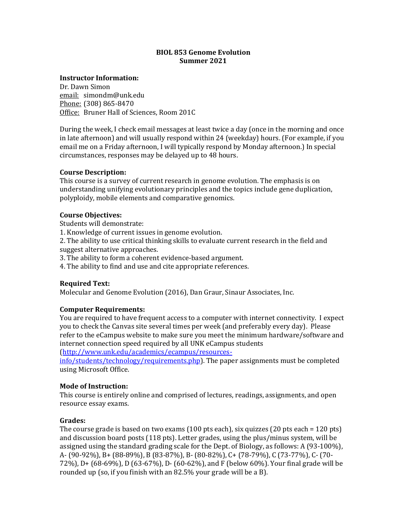# **BIOL 853 Genome Evolution Summer 2021**

# **Instructor Information:**

Dr. Dawn Simon email: simondm@unk.edu Phone: (308) 865-8470 Office: Bruner Hall of Sciences, Room 201C

During the week, I check email messages at least twice a day (once in the morning and once in late afternoon) and will usually respond within  $24$  (weekday) hours. (For example, if you email me on a Friday afternoon, I will typically respond by Monday afternoon.) In special circumstances, responses may be delayed up to 48 hours. 

#### **Course Description:**

This course is a survey of current research in genome evolution. The emphasis is on understanding unifying evolutionary principles and the topics include gene duplication, polyploidy, mobile elements and comparative genomics.

#### **Course Objectives:**

Students will demonstrate:

1. Knowledge of current issues in genome evolution.

2. The ability to use critical thinking skills to evaluate current research in the field and suggest alternative approaches.

3. The ability to form a coherent evidence-based argument.

4. The ability to find and use and cite appropriate references.

# **Required Text:**

Molecular and Genome Evolution (2016), Dan Graur, Sinaur Associates, Inc.

# **Computer Requirements:**

You are required to have frequent access to a computer with internet connectivity. I expect you to check the Canvas site several times per week (and preferably every day). Please refer to the eCampus website to make sure you meet the minimum hardware/software and internet connection speed required by all UNK eCampus students

(http://www.unk.edu/academics/ecampus/resources-

info/students/technology/requirements.php). The paper assignments must be completed using Microsoft Office.

# **Mode of Instruction:**

This course is entirely online and comprised of lectures, readings, assignments, and open resource essay exams.

# **Grades:**

The course grade is based on two exams  $(100 \text{ pts each})$ , six quizzes  $(20 \text{ pts each} = 120 \text{ pts})$ and discussion board posts  $(118 \text{ pts})$ . Letter grades, using the plus/minus system, will be assigned using the standard grading scale for the Dept. of Biology, as follows: A (93-100%), A- (90-92%), B+ (88-89%), B (83-87%), B- (80-82%), C+ (78-79%), C (73-77%), C- (70- 72%), D+  $(68-69%)$ , D $(63-67%)$ , D $(60-62%)$ , and F $(below 60%)$ . Your final grade will be rounded up (so, if you finish with an  $82.5\%$  your grade will be a B).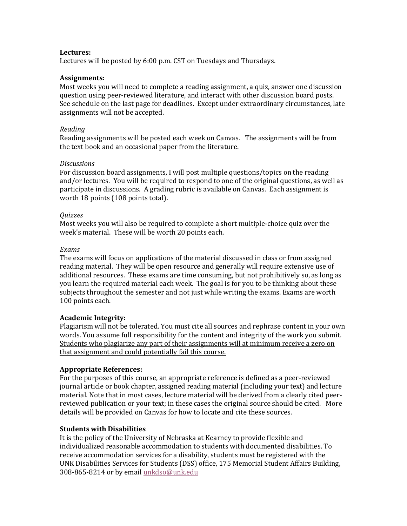# **Lectures:**

Lectures will be posted by 6:00 p.m. CST on Tuesdays and Thursdays.

#### **Assignments:**

Most weeks you will need to complete a reading assignment, a quiz, answer one discussion question using peer-reviewed literature, and interact with other discussion board posts. See schedule on the last page for deadlines. Except under extraordinary circumstances, late assignments will not be accepted.

#### *Reading*

Reading assignments will be posted each week on Canvas. The assignments will be from the text book and an occasional paper from the literature.

#### *Discussions*

For discussion board assignments, I will post multiple questions/topics on the reading and/or lectures. You will be required to respond to one of the original questions, as well as participate in discussions. A grading rubric is available on Canvas. Each assignment is worth 18 points (108 points total).

#### *Quizzes*

Most weeks you will also be required to complete a short multiple-choice quiz over the week's material. These will be worth 20 points each.

#### *Exams*

The exams will focus on applications of the material discussed in class or from assigned reading material. They will be open resource and generally will require extensive use of additional resources. These exams are time consuming, but not prohibitively so, as long as you learn the required material each week. The goal is for you to be thinking about these subjects throughout the semester and not just while writing the exams. Exams are worth 100 points each.

# **Academic Integrity:**

Plagiarism will not be tolerated. You must cite all sources and rephrase content in your own words. You assume full responsibility for the content and integrity of the work you submit. Students who plagiarize any part of their assignments will at minimum receive a zero on that assignment and could potentially fail this course.

# **Appropriate References:**

For the purposes of this course, an appropriate reference is defined as a peer-reviewed journal article or book chapter, assigned reading material (including your text) and lecture material. Note that in most cases, lecture material will be derived from a clearly cited peerreviewed publication or your text; in these cases the original source should be cited. More details will be provided on Canvas for how to locate and cite these sources.

# **Students with Disabilities**

It is the policy of the University of Nebraska at Kearney to provide flexible and individualized reasonable accommodation to students with documented disabilities. To receive accommodation services for a disability, students must be registered with the UNK Disabilities Services for Students (DSS) office, 175 Memorial Student Affairs Building, 308-865-8214 or by email unkdso@unk.edu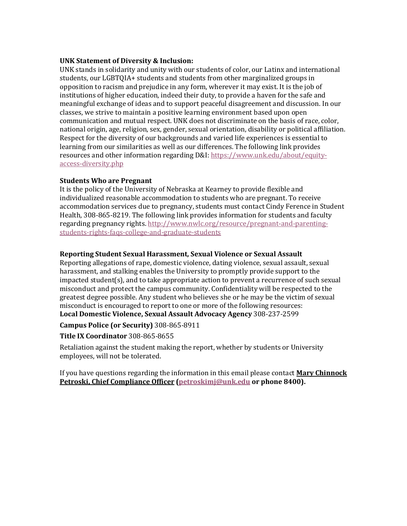# **UNK Statement of Diversity & Inclusion:**

UNK stands in solidarity and unity with our students of color, our Latinx and international students, our LGBTQIA+ students and students from other marginalized groups in opposition to racism and prejudice in any form, wherever it may exist. It is the job of institutions of higher education, indeed their duty, to provide a haven for the safe and meaningful exchange of ideas and to support peaceful disagreement and discussion. In our classes, we strive to maintain a positive learning environment based upon open communication and mutual respect. UNK does not discriminate on the basis of race, color, national origin, age, religion, sex, gender, sexual orientation, disability or political affiliation. Respect for the diversity of our backgrounds and varied life experiences is essential to learning from our similarities as well as our differences. The following link provides resources and other information regarding D&I: https://www.unk.edu/about/equityaccess-diversity.php

# **Students Who are Pregnant**

It is the policy of the University of Nebraska at Kearney to provide flexible and individualized reasonable accommodation to students who are pregnant. To receive accommodation services due to pregnancy, students must contact Cindy Ference in Student Health, 308-865-8219. The following link provides information for students and faculty regarding pregnancy rights. http://www.nwlc.org/resource/pregnant-and-parentingstudents-rights-faqs-college-and-graduate-students

# **Reporting Student Sexual Harassment, Sexual Violence or Sexual Assault**

Reporting allegations of rape, domestic violence, dating violence, sexual assault, sexual harassment, and stalking enables the University to promptly provide support to the  $impeated student(s)$ , and to take appropriate action to prevent a recurrence of such sexual misconduct and protect the campus community. Confidentiality will be respected to the greatest degree possible. Any student who believes she or he may be the victim of sexual misconduct is encouraged to report to one or more of the following resources: **Local Domestic Violence, Sexual Assault Advocacy Agency** 308-237-2599

# **Campus Police (or Security)** 308-865-8911

# **Title IX Coordinator** 308-865-8655

Retaliation against the student making the report, whether by students or University employees, will not be tolerated.

If you have questions regarding the information in this email please contact **Mary Chinnock Petroski, Chief Compliance Officer (petroskimj@unk.edu or phone 8400).**